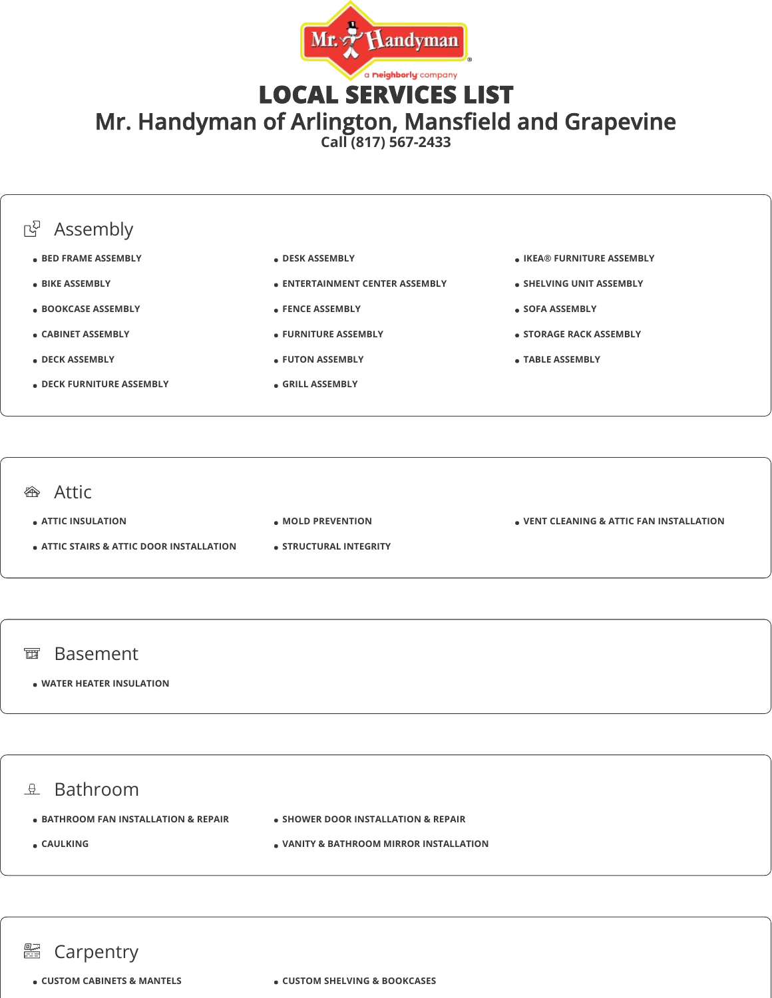

LOCAL SERVICES LIST

Mr. Handyman of Arlington, Mansfield and Grapevine

**Call (817) 567-2433**



## **<sup>企</sup>**Attic

**ATTIC INSULATION**

- **ATTIC STAIRS & ATTIC DOOR INSTALLATION**
- **MOLD PREVENTION**
- **STRUCTURAL INTEGRITY**

**VENT CLEANING & ATTIC FAN INSTALLATION**

#### 面 Basement

### **WATER HEATER INSULATION**

# $\mathbb{R}$  Bathroom

- $\bullet$  **BATHROOM FAN INSTALLATION & REPAIR**
- **SHOWER DOOR INSTALLATION & REPAIR**

**CAULKING**

**VANITY & BATHROOM MIRROR INSTALLATION**

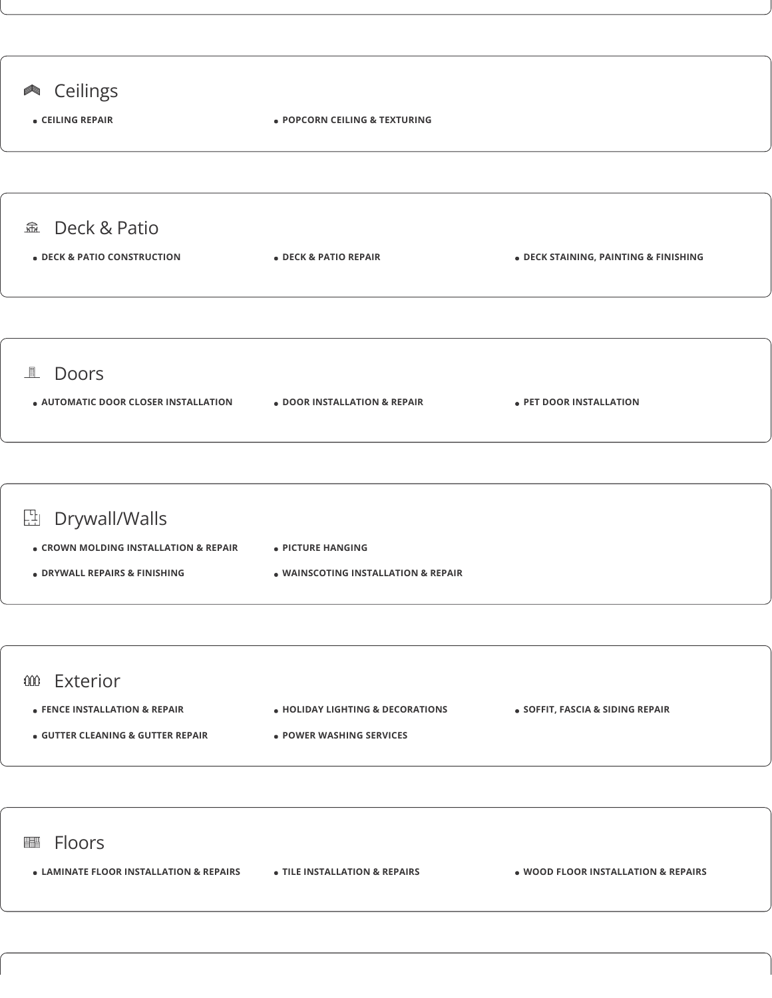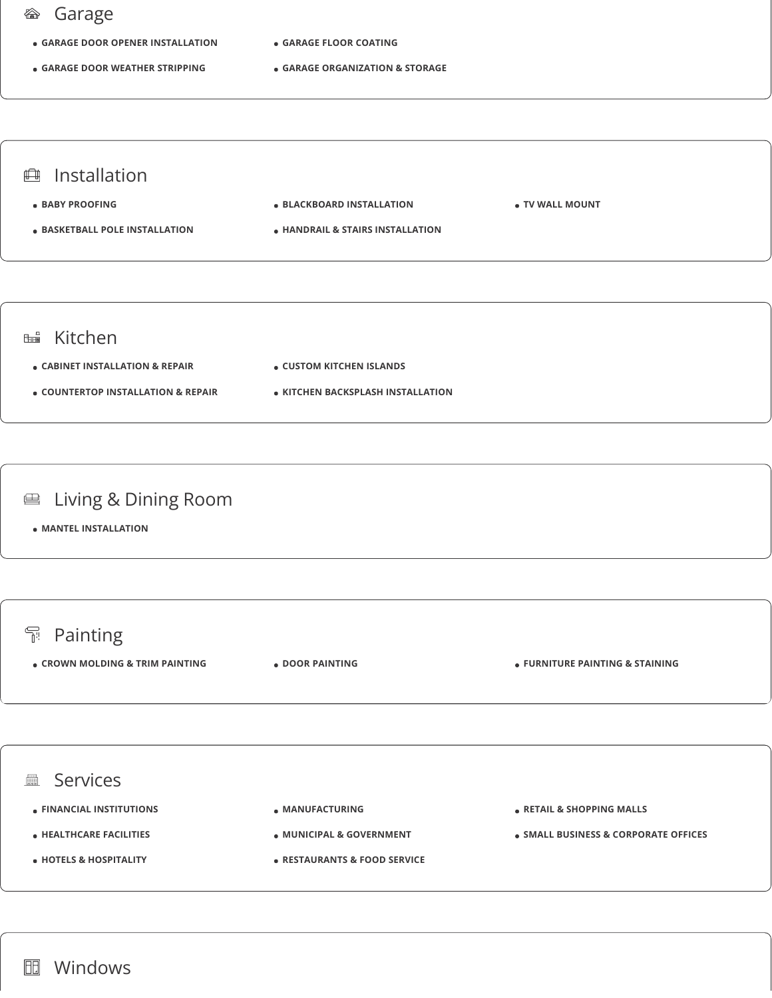## Garage

- **GARAGE DOOR OPENER INSTALLATION**
- **GARAGE DOOR WEATHER STRIPPING**
- **GARAGE FLOOR COATING**
- **GARAGE ORGANIZATION & STORAGE**



- **COUNTERTOP INSTALLATION & REPAIR**
- **KITCHEN BACKSPLASH INSTALLATION**

### Living & Dining Room 鱼

**MANTEL INSTALLATION**



- **HEALTHCARE FACILITIES**
- **HOTELS & HOSPITALITY**
- **MUNICIPAL & GOVERNMENT**
- **RESTAURANTS & FOOD SERVICE**
- **SMALL BUSINESS & CORPORATE OFFICES**